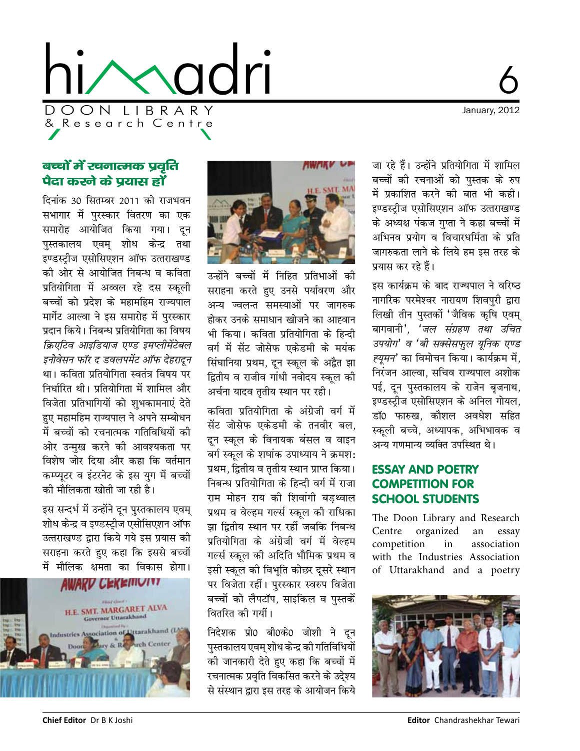

January, 2012

# बच्चों में खनात्मक प्रवृति पैदा करने के प्रयास हों

दिनांक 30 सितम्बर 2011 को राजभवन सभागार में पुरस्कार वितरण का एक समारोह आयोजित किया गया। दून पुस्तकालय एवम् शोध केन्द्र तथा इण्डस्ट्रीज एसोसिएशन ऑफ उत्तराखण्ड की ओर से आयोजित निबन्ध व कविता प्रतियोगिता में अव्वल रहे दस स्कली बच्चों को प्रदेश के महामहिम राज्यपाल मार्गेट आल्वा ने इस समारोह में पुरस्कार प्रदान किये। निबन्ध प्रतियोगिता का विषय क्रिएटिव आइडियाज एण्ड इमप्लीमेंटेबल इनोवेसन फॉर द डवलपमेंट ऑफ देहरादून था। कविता प्रतियोगिता स्वतंत्र विषय पर निर्धारित थी। पतियोगिता में शामिल और विजेता प्रतिभागियों को शुभकामनाएं देते हए महामहिम राज्यपाल ने अपने सम्बोधन में बच्चों को रचनात्मक गतिविधियों की ओर उन्मुख करने की आवश्यकता पर विशेष जोर दिया और कहा कि वर्तमान कम्प्यटर व इंटरनेट के इस युग में बच्चों की मौलिकता खोती जा रही है।

इस सन्दर्भ में उन्होंने दून पुस्तकालय एवम् शोध केन्द्र व इण्डस्टीज एसोसिएशन ऑफ उत्तराखण्ड द्वारा किये गये इस प्रयास की सराहना करते हुए कहा कि इससे बच्चों में मौलिक क्षमता का विकास होगा।

**AWAKU CEKEMUTIT** 





उन्होंने बच्चों में निहित प्रतिभाओं की सराहना करते हुए उनसे पर्यावरण और अन्य ज्वलन्त समस्याओं पर जागरुक होकर उनके समाधान खोजने का आह्वान भी किया। कविता प्रतियोगिता के हिन्दी वर्ग में सेंट जोसेफ एकेडमी के मयंक सिंघानिया प्रथम, दून स्कूल के अद्वैत झा द्वितीय व राजीव गांधी नवोदय स्कूल की अर्चना यादव तृतीय स्थान पर रही।

कविता प्रतियोगिता के अंग्रेजी वर्ग में सेंट जोसेफ एकेडमी के तनवीर बल. दन स्कुल के विनायक बंसल व वाइन बर्ग स्कुल के शषांक उपाध्याय ने क्रमश: प्रथम, द्वितीय व तृतीय स्थान प्राप्त किया। निबन्ध प्रतियोगिता के हिन्दी वर्ग में राजा राम मोहन राय की शिवांगी बडथ्वाल प्रथम व वेल्हम गर्ल्स स्कल की राधिका झा द्वितीय स्थान पर रहीं जबकि निबन्ध प्रतियोगिता के अंग्रेजी वर्ग में वेल्हम गर्ल्स स्कल की अदिति भौमिक प्रथम व इसी स्कूल की विभूति कोछर दूसरे स्थान पर विजेता रहीं। पुरस्कार स्वरुप विजेता बच्चों को लैपटॉप, साइकिल व पुस्तकें वितरित की गयीं।

निदेशक प्रो0 बी0के0 जोशी ने दून पस्तकालय एवम शोध केन्द्र की गतिविधियों की जानकारी देते हुए कहा कि बच्चों में रचनात्मक प्रवृति विकसित करने के उदे्श्य से संस्थान द्वारा इस तरह के आयोजन किये

जा रहे हैं। उन्होंने प्रतियोगिता में शामिल बच्चों की रचनाओं को पुस्तक के रुप में प्रकाशित करने की बात भी कही। इण्डस्टीज एसोसिएशन ऑफ उत्तराखण्ड के अध्यक्ष पंकज गुप्ता ने कहा बच्चों में अभिनव प्रयोग व विचारधर्मिता के प्रति जागरुकता लाने के लिये हम इस तरह के प्रयास कर रहे हैं।

इस कार्यक्रम के बाद राज्यपाल ने वरिष्ठ नागरिक परमेश्वर नारायण शिवपुरी द्वारा लिखी तीन पुस्तकों 'जैविक कृषि एवम् बागवानी', 'जल संग्रहण तथा उचित उपयोग' व 'बी सक्सेसफुल यूनिक एण्ड *ह्यूमन*' का विमोचन किया। कार्यक्रम में, निरंजन आल्वा, सचिव राज्यपाल अशोक पई, दून पुस्तकालय के राजेन बृजनाथ, इण्डस्ट्रीज एसोसिएशन के अनिल गोयल, डाॅ0 फारुख, कौशल अवधेश सहित स्कली बच्चे. अध्यापक. अभिभावक व अन्य गणमान्य व्यक्ति उपस्थित थे।

## **ESSAY AND POETRY COMPETITION FOR SCHOOL STUDENTS**

The Doon Library and Research Centre organized an essay competition in association with the Industries Association of Uttarakhand and a poetry

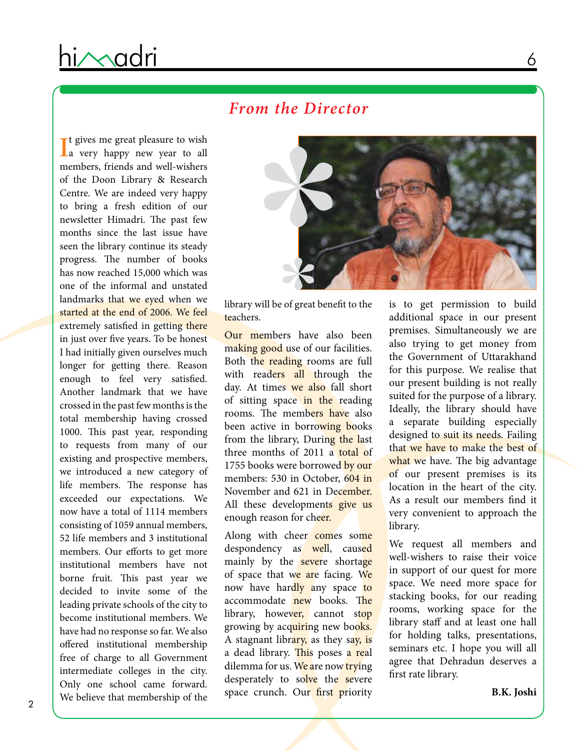# *From the Director*

It gives me great pleasure to wish<br>
Ia very happy new year to all **T** t gives me great pleasure to wish members, friends and well-wishers of the Doon Library & Research Centre. We are indeed very happy to bring a fresh edition of our newsletter Himadri. The past few months since the last issue have seen the library continue its steady progress. The number of books has now reached 15,000 which was one of the informal and unstated landmarks that we eyed when we started at the end of 2006. We feel extremely satisfied in getting there in just over five years. To be honest I had initially given ourselves much longer for getting there. Reason enough to feel very satisfied. Another landmark that we have crossed in the past few months is the total membership having crossed 1000. This past year, responding to requests from many of our existing and prospective members, we introduced a new category of life members. The response has exceeded our expectations. We now have a total of 1114 members consisting of 1059 annual members, 52 life members and 3 institutional members. Our efforts to get more institutional members have not borne fruit. This past year we decided to invite some of the leading private schools of the city to become institutional members. We have had no response so far. We also offered institutional membership free of charge to all Government intermediate colleges in the city. Only one school came forward. We believe that membership of the



library will be of great benefit to the teachers.

Our members have also been making good use of our facilities. Both the reading rooms are full with readers all through the day. At times we also fall short of sitting space in the reading rooms. The members have also been active in borrowing books from the library, During the last three months of 2011 a total of 1755 books were borrowed by our members: 530 in October, 604 in November and 621 in December. All these developments give us enough reason for cheer.

Along with cheer comes some despondency as well, caused mainly by the severe shortage of space that we are facing. We now have hardly any space to accommodate new books. The library, however, cannot stop growing by acquiring new books. A stagnant library, as they say, is a dead library. This poses a real dilemma for us. We are now trying desperately to solve the severe space crunch. Our first priority

is to get permission to build additional space in our present premises. Simultaneously we are also trying to get money from the Government of Uttarakhand for this purpose. We realise that our present building is not really suited for the purpose of a library. Ideally, the library should have a separate building especially designed to suit its needs. Failing that we have to make the best of what we have. The big advantage of our present premises is its location in the heart of the city. As a result our members find it very convenient to approach the library.

We request all members and well-wishers to raise their voice in support of our quest for more space. We need more space for stacking books, for our reading rooms, working space for the library staff and at least one hall for holding talks, presentations, seminars etc. I hope you will all agree that Dehradun deserves a first rate library.

**B.K. Joshi**

6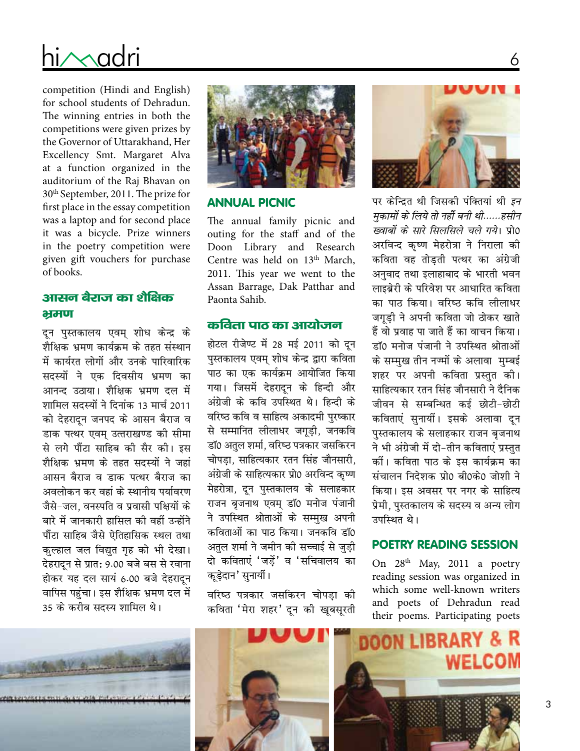# D O O N L I B R A R Y & R e s e a r c h C e n t r e hi/Madri

competition (Hindi and English) for school students of Dehradun. The winning entries in both the competitions were given prizes by the Governor of Uttarakhand, Her Excellency Smt. Margaret Alva at a function organized in the auditorium of the Raj Bhavan on 30th September, 2011. The prize for first place in the essay competition was a laptop and for second place it was a bicycle. Prize winners in the poetry competition were given gift vouchers for purchase of books.

### आसन बेराज का शेक्षिक भ्रमण

दून पुस्तकालय एवम् शोध केन्द्र के शैक्षिक भ्रमण कार्यक्रम के तहत संस्थान में कार्यरत लोगों और उनके पारिवारिक सदस्यों ने एक दिवसीय भ्रमण का आनन्द उठाया। शैक्षिक भ्रमण दल में शामिल सदस्यों ने दिनांक 13 मार्च 2011 को देहरादून जनपद के आसन बैराज व डाक पत्थर एवम उत्तराखण्ड को सीमा से लगे पौंटा साहिब को सैर को। इस शैक्षिक भ्रमण के तहत सदस्यों ने जहां आसन बैराज व डाक पत्थर बैराज का अवलोकन कर वहां के स्थानीय पर्यावरण जैसे-जल, वनस्पति व प्रवासी पक्षियों के बारे में जानकारी हासिल की वहीं उन्होंने पौंटा साहिब जैसे ऐतिहासिक स्थल तथा कुल्हाल जल विद्युत गृह को भी देखा। देहरादून से प्रात: 9.00 बजे बस से रवाना होकर यह दल सायं 6.00 बजे देहरादून वापिस पहुंचा। इस शैक्षिक भ्रमण दल में 35 के करीब सदस्य शामिल थे।



#### Annual Picnic

The annual family picnic and outing for the staff and of the Doon Library and Research Centre was held on 13<sup>th</sup> March, 2011. This year we went to the Assan Barrage, Dak Patthar and Paonta Sahib.

#### कविता पाठ का आयोजन

होटल रीजेण्ट में 28 मई 2011 को दून पुस्तकालय एवम् शोध केन्द्र द्वारा कविता पाठ का एक कार्यक्रम आयोजित किया गया। जिसमें देहरादन के हिन्दी और अंग्रेजी के कवि उपस्थित थे। हिन्दी के वरिष्ठ कवि व साहित्य अकादमी पुरष्कार से सम्मानित लीलाधर जगूड़ी, जनकवि डाॅ0 अतुल शर्मा, वरिष्ठ पत्रकार जसकिरन चोपडा. साहित्यकार रतन सिंह जौनसारी. अंग्रेजी के साहित्यकार प्रो0 अरविन्द कृष्ण मेहरोत्रा, दून पुस्तकालय के सलाहकार राजन बृजनाथ एवम् डॉ0 मनोज पंजानी ने उपस्थित श्रोताओं के सम्मुख अपनी कविताओं का पाठ किया। जनकवि डॉ0 अतुल शर्मा ने जमीन की सच्चाई से जुड़ी दो कविताएं 'जड़ें' व 'सचिवालय का कूड़ेदान' सुनायीं।

वरिष्ठ पत्रकार जसकिरन चोपड़ा की कविता 'मेरा शहर' दून की खूबसूरती



6

पर केन्द्रित थी जिसकी पंक्तियां थी *इन eqdkeksa ds fy;s rks ughas cuh Fkh------glhu ख्वाबों के सारे सिलसिले चले गये*। प्रो0 अरविन्द कृष्ण मेहरोत्रा ने निराला की कविता वह तोड़ती पत्थर का अंग्रेजी अनुवाद तथा इलाहाबाद के भारती भवन लाइबेरी के परिवेश पर आधारित कविता का पाठ किया। वरिष्ठ कवि लीलाधर जगूड़ी ने अपनी कविता जो ठोकर खाते हैं वो प्रवाह पा जाते हैं का वाचन किया। डॉ0 मनोज पंजानी ने उपस्थित श्रोताओं के सम्मुख तीन नज्मों के अलावा मुम्बई शहर पर अपनी कविता प्रस्तुत की। साहित्यकार रतन सिंह जौनसारी ने दैनिक जीवन से सम्बन्धित कई छोटी-छोटी कविताएं सुनायीं। इसके अलावा दुन पुस्तकालय के सलाहकार राजन बृजनाथ ने भी अंग्रेजी में दो-तीन कविताएं प्रस्तुत कों। कविता पाठ के इस कार्यक्रम का .<br>संचालन निदेशक पो0 बी0के0 जोशी ने किया। इस अवसर पर नगर के साहित्य प्रेमी, पुस्तकालय के सदस्य व अन्य लोग उपस्थित थे।

#### Poetry Reading Session

On 28<sup>th</sup> May, 2011 a poetry reading session was organized in which some well-known writers and poets of Dehradun read their poems. Participating poets

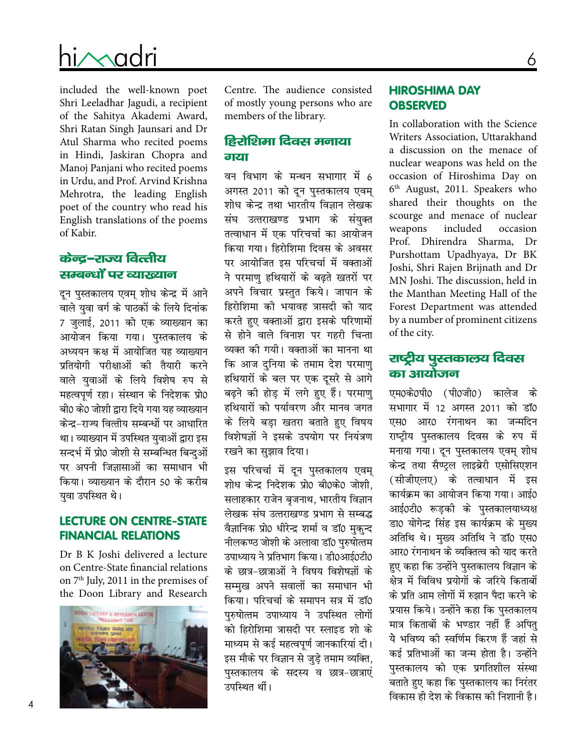# D O O N L I B R A R Y & R e s e a r c h C e n t r e hi $\sim$ adri

included the well-known poet Shri Leeladhar Jagudi, a recipient of the Sahitya Akademi Award, Shri Ratan Singh Jaunsari and Dr Atul Sharma who recited poems in Hindi, Jaskiran Chopra and Manoj Panjani who recited poems in Urdu, and Prof. Arvind Krishna Mehrotra, the leading English poet of the country who read his English translations of the poems of Kabir.

## केन्द्र-राज्य वित्तीय सम्बन्धों पर व्याख्यान

दून पुस्तकालय एवम् शोध केन्द्र में आने वाले युवा वर्ग के पाठकों के लिये दिनांक 7 जुलाई, 2011 को एक व्याख्यान का आयोजन किया गया। पुस्तकालय के अध्ययन कक्ष में आयोजित यह व्याख्यान प्रतियोगी परीक्षाओं की तैयारी करने वाले युवाओं के लिये विशेष रुप से महत्वपूर्ण रहा। संस्थान के निदेशक प्रो0 बी0 के0 जोशी द्वारा दिये गया यह व्याख्यान केन्द्र-राज्य वित्तीय सम्बन्धों पर आधारित था। व्याख्यान में उपस्थित युवाओं द्वारा इस सन्दर्भ में प्रो0 जोशी से सम्बन्धित बिन्दओं पर अपनी जिज्ञासाओं का समाधान भी किया। व्याख्यान के दौरान 50 के करीब युवा उपस्थित थे।

#### Lecture on Centre-State Financial Relations

Dr B K Joshi delivered a lecture on Centre-State financial relations on 7<sup>th</sup> July, 2011 in the premises of the Doon Library and Research



Centre. The audience consisted of mostly young persons who are members of the library.

## हिरोशिमा दिवस मनाया त्रारगा

वन विभाग के मन्थन सभागार में 6 अगस्त 2011 को दून पुस्तकालय एवम् शोध केन्द्र तथा भारतीय विज्ञान लेखक संघ उत्तराखण्ड प्रभाग के संयुक्त तत्वाधान में एक परिचर्चा का आयोजन किया गया। हिरोशिमा दिवस के अवसर पर आयोजित इस परिचर्चा में वक्ताओं ने परमाणु हथियारों के बढ़ते खतरों पर अपने विचार प्रस्तुत किये। जापान के हिरोशिमा की भयावह त्रासदी को याद करते हुए वक्ताओं द्वारा इसके परिणामों से होने वाले विनाश पर गहरी चिन्ता व्यक्त की गयी। वक्ताओं का मानना था कि आज दुनिया के तमाम देश परमाणु हथियारों के बल पर एक दूसरे से आगे बढ़ने की होड़ में लगे हुए हैं। परमाणु हथियारों को पर्यावरण और मानव जगत के लिये बड़ा खतरा बताते हुए विषय विशेषज्ञों ने इसके उपयोग पर नियंत्रण रखने का सुझाव दिया।

इस परिचर्चा में दून पुस्तकालय एवम् शोध केन्द्र निदेशक प्रो0 बी0के0 जोशी, सलाहकार राजेन बृजनाथ, भारतीय विज्ञान लेखक संघ उत्तराखण्ड प्रभाग से सम्बद्ध वैज्ञानिक प्रो0 धीरेन्द्र शर्मा व डॉ0 मुकुन्द नीलकण्ठ जोशी के अलावा डॉ0 पुरुषोत्तम उपाध्याय ने प्रतिभाग किया। डी0आई0टी0 के छात्र-छात्राओं ने विषय विशेषज्ञों के सम्मख अपने सवालों का समाधान भी किया। परिचर्चा के समापन सत्र में डॉ0 पुरुषोत्तम उपाध्याय ने उपस्थित लोगों को हिरोशिमा त्रासदी पर स्लाइड शो के माध्यम से कई महत्वपूर्ण जानकारियां दी। इस मौके पर विज्ञान से जुडे तमाम व्यक्ति, पुस्तकालय के सदस्य व छात्र-छात्राएं उपस्थित थीं।

#### Hiroshima Day **OBSERVED**

In collaboration with the Science Writers Association, Uttarakhand a discussion on the menace of nuclear weapons was held on the occasion of Hiroshima Day on 6th August, 2011. Speakers who shared their thoughts on the scourge and menace of nuclear weapons included occasion Prof. Dhirendra Sharma, Dr Purshottam Upadhyaya, Dr BK Joshi, Shri Rajen Brijnath and Dr MN Joshi. The discussion, held in the Manthan Meeting Hall of the Forest Department was attended by a number of prominent citizens of the city.

## राष्ट्रीय पुस्तकालय दिवस का आयोजन

एम0के0पी0 (पी0जी0) कालेज के सभागार में 12 अगस्त 2011 को डॉ0 एस0 आर0 रंगनाथन का जन्मदिन राष्ट्रीय पुस्तकालय दिवस के रुप मे<mark>ं</mark> मनाया गया। दून पुस्तकालय एवम् शोध केन्द्र तथा सैण्ट्ल लाइब्रेरी एसोसिएशन (सीजीएलए) के तत्वाधान में इस कार्यक्रम का आयोजन किया गया। आई0 आई0टी0 रूड़की के पुस्तकालयाध्यक्ष डा0 योगेन्द्र सिंह इस कार्यक्रम के मुख्य अतिथि थे। मुख्य अतिथि ने डाॅ0 एस0 आर0 रंगनाथन के व्यक्तित्व को याद करते हुए कहा कि उन्होंने पुस्तकालय विज्ञान के क्षेत्र में विविध प्रयोगों के जरिये किताबों के प्रति आम लोगों में रुझान पैदा करने के प्रयास किये। उन्होंने कहा कि पुस्तकालय मात्र किताबों के भण्डार नहीं हैं अपित् ये भविष्य की स्वर्णिम किरण हैं जहां से कई प्रतिभाओं का जन्म होता है। उन्होंने पुस्तकालय को एक प्रगतिशील संस्था बताते हुए कहा कि पुस्तकालय का निरंतर विकास ही देश के विकास की निशानी है।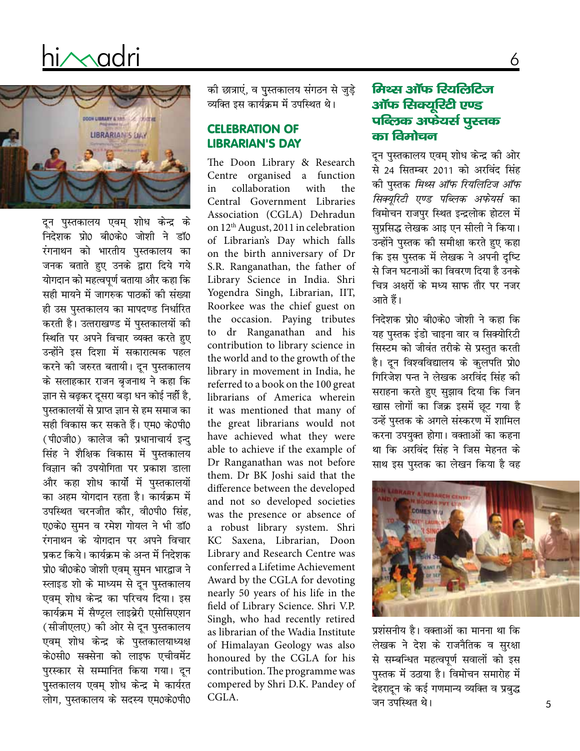# hi/madri



दून पुस्तकालय एवम् शोध केन्द्र के निदेशक प्रो0 बी0के0 जोशी ने डॉ0 रंगनाथन को भारतीय पुस्तकालय का जनक बताते हुए उनके द्वारा दिये गये योगदान को महत्वपूर्ण बताया और कहा कि सही मायने में जागरुक पाठकों की संख्या ही उस पस्तकालय का मापदण्ड निर्धारित करती है। उत्तराखण्ड में पुस्तकालयों की स्थिति पर अपने विचार व्यक्त करते हुए उन्होंने इस दिशा में सकारात्मक पहल करने की जरुरत बतायी। दून पुस्तकालय के सलाहकार राजन बृजनाथ ने कहा कि ज्ञान से बढ़कर दूसरा बड़ा धन कोई नहीं है, पुस्तकालयों से प्राप्त ज्ञान से हम समाज का सही विकास कर सकते हैं। एम0 के0पी0 (पी0जी0) कालेज की प्रधानाचार्य इन्द सिंह ने शैक्षिक विकास में पुस्तकालय विज्ञान की उपयोगिता पर प्रकाश डाला और कहा शोध कार्यों में पुस्तकालयों का अहम योगदान रहता है। कार्यक्रम में उपस्थित चरनजीत कौर, वी0पी0 सिंह, ए0के0 समन व रमेश गोयल ने भी डॉ0 रंगनाथन के योगदान पर अपने विचार प्रकट किये। कार्यक्रम के अन्त में निदेशक प्रो0 बी0के0 जोशी एवम् सुमन भारद्वाज ने स्लाइड शो के माध्यम से दून पुस्तकालय एवम् शोध केन्द्र का परिचय दिया। इस कार्यक्रम में सैण्टल लाइब्रेरी एसोसिएशन (सीजीएलए) की ओर से दून पुस्तकालय एवम् शोध केन्द्र के पुस्तकालयाध्यक्ष के0सी0 सक्सेना को लाइफ एचीवमेंट पुरस्कार से सम्मानित किया गया। दून पुस्तकालय एवम् शोध केन्द्र मे कार्यरत लोग, पुस्तकालय के सदस्य एम0के0पी0

की छात्राएं, व पुस्तकालय संगठन से जुड़े व्यक्ति इस कार्यक्रम में उपस्थित थे।

#### **CELEBRATION OF LIBRARIAN'S DAY**

The Doon Library & Research Centre organised a function in collaboration with the Central Government Libraries Association (CGLA) Dehradun on 12<sup>th</sup> August, 2011 in celebration of Librarian's Day which falls on the birth anniversary of Dr S.R. Ranganathan, the father of Library Science in India. Shri Yogendra Singh, Librarian, IIT, Roorkee was the chief guest on the occasion. Paying tributes to dr Ranganathan and his contribution to library science in the world and to the growth of the library in movement in India, he referred to a book on the 100 great librarians of America wherein it was mentioned that many of the great librarians would not have achieved what they were able to achieve if the example of Dr Ranganathan was not before them. Dr BK Joshi said that the difference between the developed and not so developed societies was the presence or absence of a robust library system. Shri KC Saxena, Librarian, Doon Library and Research Centre was conferred a Lifetime Achievement Award by the CGLA for devoting nearly 50 years of his life in the field of Library Science. Shri V.P. Singh, who had recently retired as librarian of the Wadia Institute of Himalayan Geology was also honoured by the CGLA for his contribution. The programme was compered by Shri D.K. Pandey of CGLA.

# मिथ्स ऑफ रियलिटिज ऑफ सिक्युरिटी एण्ड पब्लिक अफेंयर्स पुस्तक का विमोचन

6

दून पुस्तकालय एवम् शोध केन्द्र की ओर से 24 सितम्बर 2011 को अरविंद सिंह की पुस्तक *मिथ्स ऑफ रियलिटिज ऑफ* सिक्युरिटी एण्ड पब्लिक अफेयर्स का विमोचन राजपुर स्थित इन्द्रलोक होटल में सुप्रसिद्ध लेखक आइ एन सीली ने किया। .<br>उन्होंने पस्तक की समीक्षा करते हुए कहा कि इस पस्तक में लेखक ने अपनी दष्टि से जिन घटनाओं का विवरण दिया है उनके चित्र अक्षरों के मध्य साफ तौर पर नजर आते हैं।

निदेशक प्रो0 बी0के0 जोशी ने कहा कि यह पुस्तक इंडो चाइना वार व सिक्योरिटी सिस्टम को जीवंत तरीके से प्रस्तुत करती है। दून विश्वविद्यालय के कुलपति प्रो0 गिरिजेश पन्त ने लेखक अरविंद सिंह की सराहना करते हुए सुझाव दिया कि जिन खास लोगों का जिक्र इसमें छूट गया है उन्हें पुस्तक के अगले संस्करण में शामिल करना उपयुक्त होगा। वक्ताओं का कहना था कि अरविंद सिंह ने जिस मेहनत के साथ इस पुस्तक का लेखन किया है वह



प्रशंसनीय है। वक्ताओं का मानना था कि लेखक ने देश के राजनैतिक व सुरक्षा से सम्बन्धित महत्वपूर्ण सवालों को इस पुस्तक में उठाया है। विमोचन समारोह में देहरादून के कई गणमान्य व्यक्ति व प्रबुद्ध जन उपस्थित थे।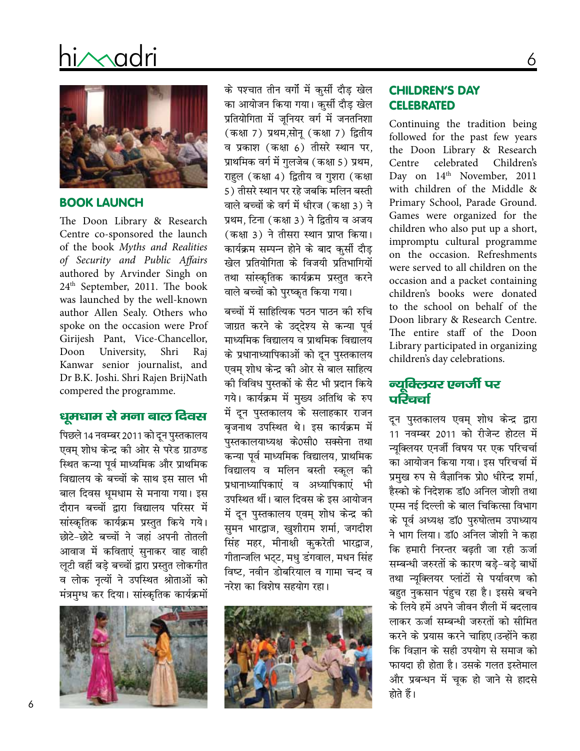# hi∧∧adri



#### **BOOK LAUNCH**

The Doon Library & Research Centre co-sponsored the launch of the book Myths and Realities of Security and Public Affairs authored by Arvinder Singh on 24<sup>th</sup> September, 2011. The book was launched by the well-known author Allen Sealy. Others who spoke on the occasion were Prof Girijesh Pant, Vice-Chancellor, Doon University, Shri Raj Kanwar senior journalist, and Dr B.K. Joshi. Shri Rajen BrijNath compered the programme.

### धूमधाम से मना बाल दिवस

पिछले 14 नवम्बर 2011 को दून पुस्तकालय एवम् शोध केन्द्र की ओर से परेड ग्राउण्ड स्थित कन्या पूर्व माध्यमिक और प्राथमिक विद्यालय के बच्चों के साथ इस साल भी बाल दिवस धुमधाम से मनाया गया। इस दौरान बच्चों द्वारा विद्यालय परिसर में सांस्कृतिक कार्यक्रम प्रस्तुत किये गये। छोटे-छोटे बच्चों ने जहां अपनी तोतली आवाज में कविताएं सुनाकर वाह वाही लुटी वहीं बड़े बच्चों द्वारा प्रस्तुत लोकगीत व लोक नृत्यों ने उपस्थित श्रोताओं को मंत्रमुग्ध कर दिया। सांस्कृतिक कार्यक्रमों



के पश्चात तीन वर्गो में कुर्सी दौड़ खेल का आयोजन किया गया। कुर्सी दौड़ खेल प्रतियोगिता में जूनियर वर्ग में जनतनिशा (कक्षा 7) प्रथम,सोनू (कक्षा 7) द्वितीय व प्रकाश (कक्षा 6) तीसरे स्थान पर, प्राथमिक वर्ग में गुलजेब (कक्षा 5) प्रथम, राहुल (कक्षा 4) द्वितीय व गुशरा (कक्षा 5) तीसरे स्थान पर रहे जबकि मलिन बस्ती वाले बच्चों के वर्ग में धीरज (कक्षा 3) ने प्रथम, टिना (कक्षा 3) ने द्वितीय व अजय (कक्षा 3) ने तीसरा स्थान प्राप्त किया। कार्यक्रम सम्पन्न होने के बाद कुर्सी दौड़ खेल प्रतियोगिता के विजयी प्रतिभागियों तथा सांस्कृतिक कार्यक्रम प्रस्तुत करने वाले बच्चों को पुरष्कृत किया गया।

बच्चों में साहित्यिक पठन पाठन की रुचि जाग्रत करने के उद्देश्य से कन्या पूर्व माध्यमिक विद्यालय व प्राथमिक विद्यालय के प्रधानाध्यापिकाओं को दून पुस्तकालय एवम् शोध केन्द्र की ओर से बाल साहित्य की विविध पुस्तकों के सैट भी प्रदान किये गये। कार्यक्रम में मुख्य अतिथि के रुप में दून पुस्तकालय के सलाहकार राजन बृजनाथ उपस्थित थे। इस कार्यक्रम में पुस्तकालयाध्यक्ष के0सी0 सक्सेना तथा कन्या पूर्व माध्यमिक विद्यालय, प्राथमिक विद्यालय व मलिन बस्ती स्कुल की प्रधानाध्यापिकाएं व अध्यापिकाएं भी उपस्थित थीं। बाल दिवस के इस आयोजन में दून पुस्तकालय एवम् शोध केन्द्र की सुमन भारद्वाज, खुशीराम शर्मा, जगदीश सिंह महर, मीनाक्षी कुकरेती भारद्वाज, गीतान्जलि भट्ट, मधु डंगवाल, मधन सिंह विष्ट, नवीन डोबरियाल व गामा चन्द व नरेश का विशेष सहयोग रहा।



#### **CHILDREN'S DAY CELEBRATED**

Continuing the tradition being followed for the past few years the Doon Library & Research celebrated Children's Centre Day on 14th November, 2011 with children of the Middle & Primary School, Parade Ground. Games were organized for the children who also put up a short, impromptu cultural programme on the occasion. Refreshments were served to all children on the occasion and a packet containing children's books were donated to the school on behalf of the Doon library & Research Centre. The entire staff of the Doon Library participated in organizing children's day celebrations.

## न्यूक्लियर एनर्जी पर ਧਦੇੇਹਦਾ

दून पुस्तकालय एवम् शोध केन्द्र द्वारा 11 नवम्बर 2011 को रीजेन्ट होटल में न्युक्लियर एनर्जी विषय पर एक परिचर्चा का आयोजन किया गया। इस परिचर्चा में प्रमुख रुप से वैज्ञानिक प्रो0 धीरेन्द्र शर्मा, हैस्को के निदेशक डाॅ0 अनिल जोशी तथा एम्स नई दिल्ली के बाल चिकित्सा विभाग के पूर्व अध्यक्ष डॉ0 पुरुषोत्तम उपाध्याय ने भाग लिया। डॉ0 अनिल जोशी ने कहा कि हमारी निरन्तर बढती जा रही ऊर्जा सम्बन्धी जरुरतों के कारण बड़े-बड़े बाधों तथा न्यूक्लियर प्लांटों से पर्यावरण को बहुत नुकसान पंहुच रहा है। इससे बचने के लिये हमें अपने जीवन शैली में बदलाव लाकर ऊर्जा सम्बन्धी जरुरतों को सीमित करने के प्रयास करने चाहिए।उन्होंने कहा कि विज्ञान के सही उपयोग से समाज को फायदा ही होता है। उसके गलत इस्तेमाल और प्रबन्धन में चुक हो जाने से हादसे होते हैं।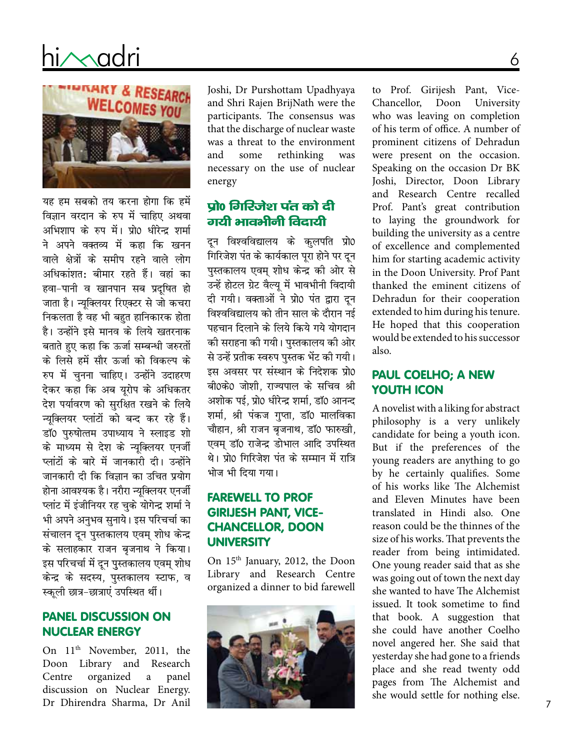# hi $\sim$ adri



यह हम सबको तय करना होगा कि हमें विज्ञान वरदान के रुप में चाहिए अथवा अभिशाप के रुप में। प्रो0 धीरेन्द्र शर्मा ने अपने वक्तव्य में कहा कि खनन वाले क्षेत्रों के समीप रहने वाले लोग अधिकांशत: बीमार रहते हैं। वहां का हवा-पानी व खानपान सब प्रदुषित हो जाता है। न्यूक्लियर रिएक्टर से जो कचरा निकलता है वह भी बहुत हानिकारक होता है। उन्होंने इसे मानव के लिये खतरनाक बताते हुए कहा कि ऊर्जा सम्बन्धी जरुरतों के लिसे हमें सौर ऊर्जा को विकल्प के रुप में चुनना चाहिए। उन्होंने उदाहरण देकर कहा कि अब यूरोप के अधिकतर देश पर्यावरण को सुरक्षित रखने के लिये न्युक्लियर प्लांटों को बन्द कर रहे हैं। डॉ0 पुरुषोत्तम उपाध्याय ने स्लाइड शो के माध्यम से देश के न्यूक्लियर एनर्जी प्लांटों के बारे में जानकारी दी। उन्होंने जानकारी दी कि विज्ञान का उचित प्रयोग होना आवश्यक है। नरौरा न्यूक्लियर एनर्जी प्लांट में इंजीनियर रह चुके योगेन्द्र शर्मा ने भी अपने अनुभव सुनाये। इस परिचर्चा का संचालन दून पुस्तकालय एवम् शोध केन्द्र के सलाहकार राजन बजनाथ ने किया। इस परिचर्चा में दून पुस्तकालय एवम् शोध केन्द्र के सदस्य, पुस्तकालय स्टाफ, व स्कुली छात्र-छात्राएं उपस्थित थीं।

#### **PANEL DISCUSSION ON NUCLEAR ENERGY**

On 11<sup>th</sup> November, 2011, the Doon Library and Research organized panel Centre  $\mathbf{a}$ discussion on Nuclear Energy. Dr Dhirendra Sharma, Dr Anil

Joshi, Dr Purshottam Upadhyaya and Shri Rajen BrijNath were the participants. The consensus was that the discharge of nuclear waste was a threat to the environment and some rethinking was necessary on the use of nuclear energy

## प्रो0 गिरिजेश पंत को दी गयी भावभीनी विदायी

दून विश्वविद्यालय के कुलपति प्रो0 गिरिजेश पंत के कार्यकाल पूरा होने पर दून पुस्तकालय एवम् शोध केन्द्र की ओर से उन्हें होटल ग्रेट वैल्यू में भावभीनी विदायी दी गयी। वक्ताओं ने प्रो0 पंत द्वारा दून विश्वविद्यालय को तीन साल के दौरान नई पहचान दिलाने के लिये किये गये योगदान की सराहना की गयी। पुस्तकालय की ओर से उन्हें प्रतीक स्वरुप पुस्तक भेंट की गयी। इस अवसर पर संस्थान के निदेशक प्रो0 बी0के0 जोशी, राज्यपाल के सचिव श्री अशोक पई, प्रो0 धीरेन्द्र शर्मा, डाॅ0 आनन्द शर्मा, श्री पंकज गुप्ता, डॉ0 मालविका चौहान, श्री राजन बृजनाथ, डॉ0 फारुखी, एवम डॉ0 राजेन्द्र डोभाल आदि उपस्थित थे। प्रो0 गिरिजेश पंत के सम्मान में रात्रि भोज भी दिया गया।

## **FAREWELL TO PROF GIRIJESH PANT, VICE-CHANCELLOR, DOON UNIVERSITY**

On 15th January, 2012, the Doon Library and Research Centre organized a dinner to bid farewell



to Prof. Girijesh Pant, Vice-Chancellor, Doon University who was leaving on completion of his term of office. A number of prominent citizens of Dehradun were present on the occasion. Speaking on the occasion Dr BK Joshi, Director, Doon Library and Research Centre recalled Prof. Pant's great contribution to laying the groundwork for building the university as a centre of excellence and complemented him for starting academic activity in the Doon University. Prof Pant thanked the eminent citizens of Dehradun for their cooperation extended to him during his tenure. He hoped that this cooperation would be extended to his successor also.

#### **PAUL COELHO; A NEW YOUTH ICON**

A novelist with a liking for abstract philosophy is a very unlikely candidate for being a youth icon. But if the preferences of the young readers are anything to go by he certainly qualifies. Some of his works like The Alchemist and Eleven Minutes have been translated in Hindi also. One reason could be the thinnes of the size of his works. That prevents the reader from being intimidated. One young reader said that as she was going out of town the next day she wanted to have The Alchemist issued. It took sometime to find that book. A suggestion that she could have another Coelho novel angered her. She said that yesterday she had gone to a friends place and she read twenty odd pages from The Alchemist and she would settle for nothing else.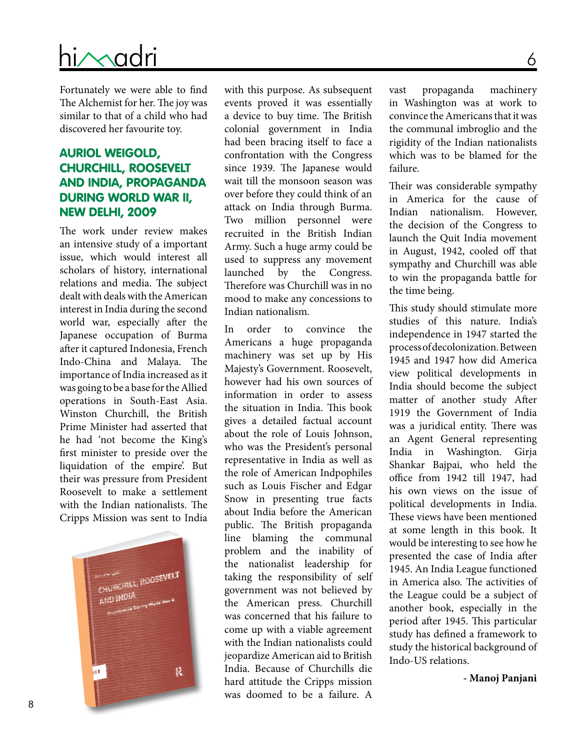# D O O N L I B R A R Y & R e s e a r c h C e n t r e hi/Madri

Fortunately we were able to find The Alchemist for her. The joy was similar to that of a child who had discovered her favourite toy.

## Auriol Weigold, Churchill, Roosevelt and India, Propaganda During World War II, New Delhi, 2009

The work under review makes an intensive study of a important issue, which would interest all scholars of history, international relations and media. The subject dealt with deals with the American interest in India during the second world war, especially after the Japanese occupation of Burma after it captured Indonesia, French Indo-China and Malaya. The importance of India increased as it was going to be a base for the Allied operations in South-East Asia. Winston Churchill, the British Prime Minister had asserted that he had 'not become the King's first minister to preside over the liquidation of the empire'. But their was pressure from President Roosevelt to make a settlement with the Indian nationalists. The Cripps Mission was sent to India



with this purpose. As subsequent events proved it was essentially a device to buy time. The British colonial government in India had been bracing itself to face a confrontation with the Congress since 1939. The Japanese would wait till the monsoon season was over before they could think of an attack on India through Burma. Two million personnel were recruited in the British Indian Army. Such a huge army could be used to suppress any movement launched by the Congress. Therefore was Churchill was in no mood to make any concessions to Indian nationalism.

In order to convince the Americans a huge propaganda machinery was set up by His Majesty's Government. Roosevelt, however had his own sources of information in order to assess the situation in India. This book gives a detailed factual account about the role of Louis Johnson, who was the President's personal representative in India as well as the role of American Indpophiles such as Louis Fischer and Edgar Snow in presenting true facts about India before the American public. The British propaganda line blaming the communal problem and the inability of the nationalist leadership for taking the responsibility of self government was not believed by the American press. Churchill was concerned that his failure to come up with a viable agreement with the Indian nationalists could jeopardize American aid to British India. Because of Churchills die hard attitude the Cripps mission was doomed to be a failure. A

vast propaganda machinery in Washington was at work to convince the Americans that it was the communal imbroglio and the rigidity of the Indian nationalists which was to be blamed for the failure.

Their was considerable sympathy in America for the cause of Indian nationalism. However, the decision of the Congress to launch the Quit India movement in August, 1942, cooled off that sympathy and Churchill was able to win the propaganda battle for the time being.

This study should stimulate more studies of this nature. India's independence in 1947 started the process of decolonization. Between 1945 and 1947 how did America view political developments in India should become the subject matter of another study After 1919 the Government of India was a juridical entity. There was an Agent General representing India in Washington. Girja Shankar Bajpai, who held the office from 1942 till 1947, had his own views on the issue of political developments in India. These views have been mentioned at some length in this book. It would be interesting to see how he presented the case of India after 1945. An India League functioned in America also. The activities of the League could be a subject of another book, especially in the period after 1945. This particular study has defined a framework to study the historical background of Indo-US relations.

**- Manoj Panjani**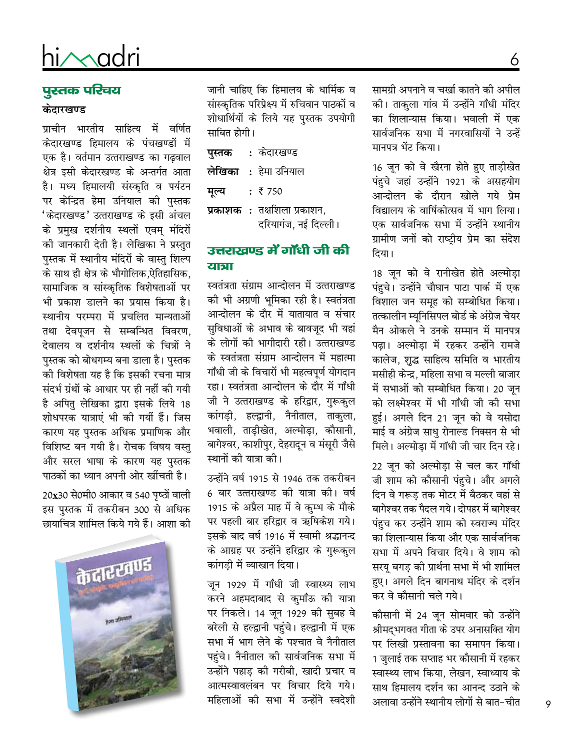# hi/Madri

# पुस्तक परिचय

#### केदारखण्ड

प्राचीन भारतीय साहित्य में वर्णित केदारखण्ड हिमालय के पंचखण्डों में एक है। वर्तमान उत्तराखण्ड का गढवाल क्षेत्र इसी केदारखण्ड के अन्तर्गत आता है। मध्य हिमालयी संस्कृति व पर्यटन पर केन्द्रित हेमा उनियाल को पुस्तक 'केदारखण्ड' उत्तराखण्ड के इसी अंचल के प्रमख दर्शनीय स्थलों एवम मंदिरों की जानकारी देती है। लेखिका ने प्रस्तुत पुस्तक में स्थानीय मंदिरों के वास्तु शिल्प के साथ ही क्षेत्र के भौगोलिक,ऐतिहासिक, सामाजिक व सांस्कृतिक विशेषताओं पर भी प्रकाश डालने का प्रयास किया है। स्थानीय परम्परा में प्रचलित मान्यताओं तथा देवपूजन से सम्बन्धित विवरण, देवालय व दर्शनीय स्थलों के चित्रों ने पुस्तक को बोधगम्य बना डाला है। पुस्तक को विशेषता यह है कि इसको रचना मात्र संदर्भ ग्रंथों के आधार पर ही नहीं की गयी है अपितु लेखिका द्वारा इसके लिये 18 शोधपरक यात्राएं भी की गयीं हैं। जिस कारण यह पुस्तक अधिक प्रमाणिक और विशिष्ट बन गयी है। रोचक विषय वस्तु और सरल भाषा के कारण यह पस्तक पाठकों का ध्यान अपनी ओर खींचती है।

20x30 से0मी0 आकार व 540 पृष्ठों वाली इस पुस्तक में तकरीबन 300 से अधिक छायाचित्र शामिल किये गये हैं। आशा की



जानी चाहिए कि हिमालय के धार्मिक व सांस्कृतिक परिप्रेक्ष्य में रुचिवान पाठकों व शोधार्थियों के लिये यह पुस्तक उपयोगी साबित होगी।

| पुस्तक | : केदारखण्ड                 |
|--------|-----------------------------|
|        | <b>लेखिका</b> : हेमा उनियाल |
| मूल्य  | : 750                       |
|        | प्रकाशक: तक्षशिला प्रकाशन,  |
|        | दरियागंज, नई दिल्ली।        |

#### उत्तराखण्ड में गाँधी जी की यात्रा

स्वतंत्रता संग्राम आन्दोलन में उत्तराखण्ड की भी अग्रणी भूमिका रही है। स्वतंत्रता आन्दोलन के दौर में यातायात व संचार सुविधाओं के अभाव के बावजूद भी यहां के लोगों की भागीदारी रही। उत्तराखण्ड के स्वतंत्रता संग्राम आन्दोलन में महात्मा गाँधी जी के विचारों भी महत्वपर्ण योगदान रहा। स्वतंत्रता आन्दोलन के दौर में गाँधी जी ने उत्तराखण्ड के हरिद्वार, गुरूकुल कांगड़ी, हल्द्वानी, नैनीताल, ताकुला, भवाली, ताड़ीखेत, अल्मोड़ा, कौसानी, बागेश्वर, काशीपुर, देहरादून व मंसूरी जैसे स्थानों की यात्रा की।

उन्होंने वर्ष 1915 से 1946 तक तकरीबन 6 बार उत्तराखण्ड की यात्रा की। वर्ष 1915 के अप्रैल माह में वे कम्भ के मौके पर पहली बार हरिद्वार व ऋषिकेश गये। इसके बाद वर्ष 1916 में स्वामी श्रद्धानन्द के आग्रह पर उन्होंने हरिद्वार के गरूकल कांगडी में व्याखान दिया।

जून 1929 में गाँधी जी स्वास्थ्य लाभ करने अहमदाबाद से कुमाँऊ की यात्रा पर निकले। 14 जून 1929 की सुबह वे बरेली से हल्द्वानी पहुंचे। हल्द्वानी में एक सभा में भाग लेने के पश्चात वे नैनीताल पहुंचे। नैनीताल की सार्वजनिक सभा में उन्होंने पहाड़ की गरीबी, खादी प्रचार व आत्मस्वावलंबन पर विचार दिये गये। महिलाओं की सभा में उन्होंने स्वदेशी

सामग्री अपनाने व चर्खा कातने की अपील की। ताकुला गांव में उन्होंने गाँधी मंदिर का शिलान्यास किया। भवाली में एक सार्वजनिक सभा में नगरवासियों ने उन्हें मानपत्र भेंट किया।

6

16 जून को वे खैरना होते हुए ताड़ीखेत पंहुचे जहां उन्होंने 1921 के असहयोग आन्दोलन के दौरान खोले गये प्रेम विद्यालय के वार्षिकोत्सव में भाग लिया। एक सार्वजनिक सभा में उन्होंने स्थानीय ग्रामीण जनों को राष्ट्रीय प्रेम का संदेश दिया।

18 जुन को वे रानीखेत होते अल्मोड़ा पंहुचे। उन्होंने चौघान पाटा पार्क में एक विशाल जन समूह को सम्बोधित किया। तत्कालीन म्युनिसिपल बोर्ड के अंग्रेज चेयर मैन ओकले ने उनके सम्मान में मानपत्र पढा। अल्मोडा में रहकर उन्होंने रामजे कालेज, शुद्ध साहित्य समिति व भारतीय मसीही केन्द्र, महिला सभा व मल्ली बाजार में सभाओं को सम्बोधित किया। 20 जन को लक्ष्मेश्वर में भी गाँधी जी की सभा हुई। अगले दिन 21 जून को वे यसोदा माई व अंग्रेज साधु रोनाल्ड निक्सन से भी मिले। अल्मोडा में गॉधी जी चार दिन रहे।

22 जून को अल्मोड़ा से चल कर गॉधी जी शाम को कौसानी पंहुचे। और अगले दिन वे गरूड तक मोटर में बैठकर वहां से बागेश्वर तक पैदल गये। दोपहर में बागेश्वर पंहच कर उन्होंने शाम को स्वराज्य मंदिर का शिलान्यास किया और एक सार्वजनिक सभा में अपने विचार दिये। वे शाम को सरयू बगड़ की प्रार्थना सभा में भी शामिल हुए। अगले दिन बागनाथ मंदिर के दर्शन कर वे कौसानी चले गये।

कौसानी में 24 जून सोमवार को उन्होंने श्रीमदभगवत गीता के उपर अनासक्ति योग पर लिखी प्रस्तावना का समापन किया। 1 जुलाई तक सप्ताह भर कौसानी में रहकर स्वास्थ्य लाभ किया, लेखन, स्वाध्याय के साथ हिमालय दर्शन का आनन्द उठाने के अलावा उन्होंने स्थानीय लोगों से बात-चीत